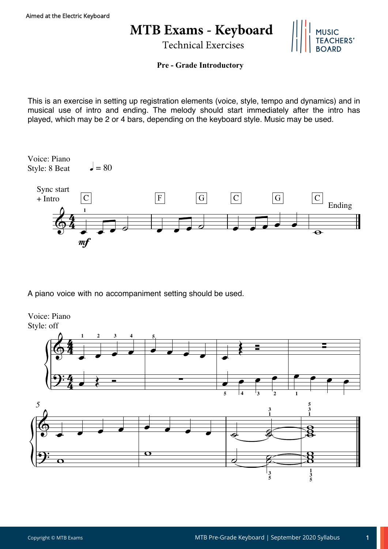## **MTB Exams - Keyboard**

Technical Exercises



## **Pre - Grade Introductory**

This is an exercise in setting up registration elements (voice, style, tempo and dynamics) and in musical use of intro and ending. The melody should start immediately after the intro has played, which may be 2 or 4 bars, depending on the keyboard style. Music may be used.



A piano voice with no accompaniment setting should be used.